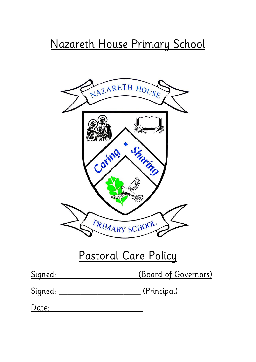# Nazareth House Primary School



## Pastoral Care Policy

| Signed: | (Board of Governors) |
|---------|----------------------|
|         |                      |

Signed: Charles (Principal)

Date: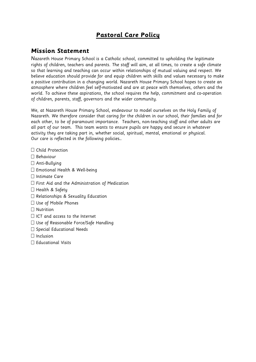### **Pastoral Care Policy**

### **Mission Statement**

Nazareth House Primary School is a Catholic school, committed to upholding the legitimate rights of children, teachers and parents. The staff will aim, at all times, to create a safe climate so that learning and teaching can occur within relationships of mutual valuing and respect. We believe education should provide for and equip children with skills and values necessary to make a positive contribution in a changing world. Nazareth House Primary School hopes to create an atmosphere where children feel self-motivated and are at peace with themselves, others and the world. To achieve these aspirations, the school requires the help, commitment and co-operation of children, parents, staff, governors and the wider community.

We, at Nazareth House Primary School, endeavour to model ourselves on the Holy Family of Nazareth. We therefore consider that caring for the children in our school, their families and for each other, to be of paramount importance. Teachers, non-teaching staff and other adults are all part of our team. This team wants to ensure pupils are happy and secure in whatever activity they are taking part in, whether social, spiritual, mental, emotional or physical. Our care is reflected in the following policies…

- Child Protection
- $\Box$  Behaviour
- $\Box$  Anti-Bulluing
- Emotional Health & Well-being
- $\Box$  Intimate Care
- $\Box$  First Aid and the Administration of Medication
- $\Box$  Health & Safety
- $\Box$  Relationships & Sexuality Education
- Use of Mobile Phones
- $\Box$  Nutrition
- $\Box$  ICT and access to the Internet
- $\square$  Use of Reasonable Force/Safe Handling
- $\square$  Special Educational Needs
- $\Box$  Inclusion
- $\Box$  Educational Visits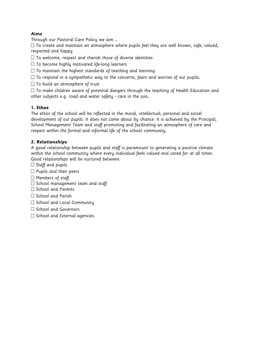#### **Aims**

Through our Pastoral Care Policy we aim …

 $\Box$  To create and maintain an atmosphere where pupils feel they are well known, safe, valued, respected and happy

- $\Box$  To welcome, respect and cherish those of diverse identities
- $\Box$  To become highly motivated life-long learners
- $\Box$  To maintain the highest standards of teaching and learning
- To respond in a sympathetic way to the concerns, fears and worries of our pupils**.**
- $\Box$  To build an atmosphere of trust

 $\Box$  To make children aware of potential dangers through the teaching of Health Education and other subjects e.g. road and water safety - care in the sun**.** 

#### **1. Ethos**

The ethos of the school will be reflected in the moral, intellectual, personal and social development of our pupils. It does not come about by chance. It is achieved by the Principal, School Management Team and staff promoting and facilitating an atmosphere of care and respect within the formal and informal life of the school community.

#### **2. Relationships**

A good relationship between pupils and staff is paramount to generating a positive climate within the school community where every individual feels valued and cared for at all times. Good relationships will be nurtured between:

- $\Box$  Staff and pupils
- $\Box$  Pupils and their peers
- $\Box$  Members of staff
- $\square$  School management team and staff
- $\Box$  School and Parents
- $\Box$  School and Parish
- $\Box$  School and Local Community
- $\Box$  School and Governors
- $\square$  School and External agencies.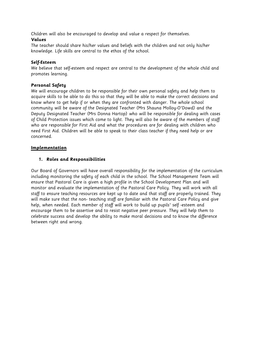Children will also be encouraged to develop and value a respect for themselves. **Values** 

The teacher should share his/her values and beliefs with the children and not only his/her knowledge. Life skills are central to the ethos of the school.

#### **Self-Esteem**

We believe that self-esteem and respect are central to the development of the whole child and promotes learning.

#### **Personal Safety**

We will encourage children to be responsible for their own personal safety and help them to acquire skills to be able to do this so that they will be able to make the correct decisions and know where to get help if or when they are confronted with danger. The whole school community will be aware of the Designated Teacher (Mrs Shauna Molloy-O'Dowd) and the Deputy Designated Teacher (Mrs Donna Hartop) who will be responsible for dealing with cases of Child Protection issues which come to light. They will also be aware of the members of staff who are responsible for First Aid and what the procedures are for dealing with children who need First Aid. Children will be able to speak to their class teacher if they need help or are concerned.

#### **Implementation**

#### **1. Roles and Responsibilities**

Our Board of Governors will have overall responsibility for the implementation of the curriculum including monitoring the safety of each child in the school. The School Management Team will ensure that Pastoral Care is given a high profile in the School Development Plan and will monitor and evaluate the implementation of the Pastoral Care Policy. They will work with all staff to ensure teaching resources are kept up to date and that staff are properly trained. They will make sure that the non- teaching staff are familiar with the Pastoral Care Policy and give help, when needed. Each member of staff will work to build up pupils' self -esteem and encourage them to be assertive and to resist negative peer pressure. They will help them to celebrate success and develop the ability to make moral decisions and to know the difference between right and wrong.